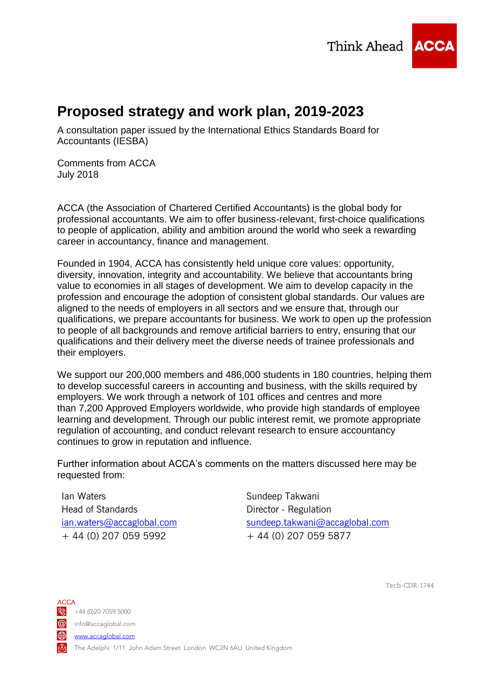Think Ahead **ACCA** 



# **Proposed strategy and work plan, 2019-2023**

A consultation paper issued by the International Ethics Standards Board for Accountants (IESBA)

Comments from ACCA July 2018

ACCA (the Association of Chartered Certified Accountants) is the global body for professional accountants. We aim to offer business-relevant, first-choice qualifications to people of application, ability and ambition around the world who seek a rewarding career in accountancy, finance and management.

Founded in 1904, ACCA has consistently held unique core values: opportunity, diversity, innovation, integrity and accountability. We believe that accountants bring value to economies in all stages of development. We aim to develop capacity in the profession and encourage the adoption of consistent global standards. Our values are aligned to the needs of employers in all sectors and we ensure that, through our qualifications, we prepare accountants for business. We work to open up the profession to people of all backgrounds and remove artificial barriers to entry, ensuring that our qualifications and their delivery meet the diverse needs of trainee professionals and their employers.

We support our 200,000 members and 486,000 students in 180 countries, helping them to develop successful careers in accounting and business, with the skills required by employers. We work through a network of 101 offices and centres and more than 7,200 Approved Employers worldwide, who provide high standards of employee learning and development. Through our public interest remit, we promote appropriate regulation of accounting, and conduct relevant research to ensure accountancy continues to grow in reputation and influence.

Further information about ACCA's comments on the matters discussed here may be requested from:

Ian Waters Head of Standards [ian.waters@accaglobal.com](mailto:ian.waters@accaglobal.com) + 44 (0) 207 059 5992

Sundeep Takwani Director - Regulation [sundeep.takwani@accaglobal.com](mailto:sundeep.takwani@accaglobal.com) + 44 (0) 207 059 5877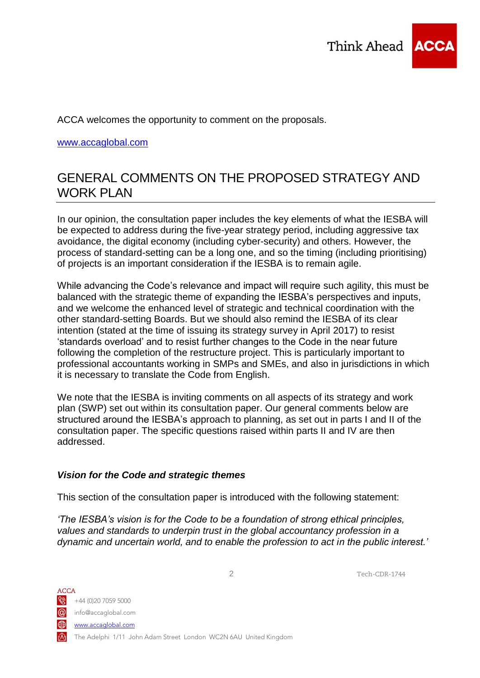

ACCA welcomes the opportunity to comment on the proposals.

[www.accaglobal.com](http://www.accaglobal.com/)

## GENERAL COMMENTS ON THE PROPOSED STRATEGY AND WORK PLAN

In our opinion, the consultation paper includes the key elements of what the IESBA will be expected to address during the five-year strategy period, including aggressive tax avoidance, the digital economy (including cyber-security) and others. However, the process of standard-setting can be a long one, and so the timing (including prioritising) of projects is an important consideration if the IESBA is to remain agile.

While advancing the Code's relevance and impact will require such agility, this must be balanced with the strategic theme of expanding the IESBA's perspectives and inputs, and we welcome the enhanced level of strategic and technical coordination with the other standard-setting Boards. But we should also remind the IESBA of its clear intention (stated at the time of issuing its strategy survey in April 2017) to resist 'standards overload' and to resist further changes to the Code in the near future following the completion of the restructure project. This is particularly important to professional accountants working in SMPs and SMEs, and also in jurisdictions in which it is necessary to translate the Code from English.

We note that the IESBA is inviting comments on all aspects of its strategy and work plan (SWP) set out within its consultation paper. Our general comments below are structured around the IESBA's approach to planning, as set out in parts I and II of the consultation paper. The specific questions raised within parts II and IV are then addressed.

## *Vision for the Code and strategic themes*

This section of the consultation paper is introduced with the following statement:

*'The IESBA's vision is for the Code to be a foundation of strong ethical principles, values and standards to underpin trust in the global accountancy profession in a dynamic and uncertain world, and to enable the profession to act in the public interest.'*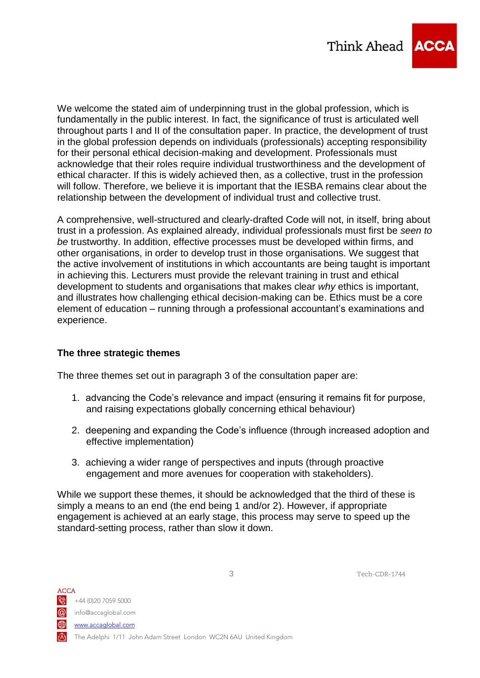

We welcome the stated aim of underpinning trust in the global profession, which is fundamentally in the public interest. In fact, the significance of trust is articulated well throughout parts I and II of the consultation paper. In practice, the development of trust in the global profession depends on individuals (professionals) accepting responsibility for their personal ethical decision-making and development. Professionals must acknowledge that their roles require individual trustworthiness and the development of ethical character. If this is widely achieved then, as a collective, trust in the profession will follow. Therefore, we believe it is important that the IESBA remains clear about the relationship between the development of individual trust and collective trust.

A comprehensive, well-structured and clearly-drafted Code will not, in itself, bring about trust in a profession. As explained already, individual professionals must first be *seen to be* trustworthy. In addition, effective processes must be developed within firms, and other organisations, in order to develop trust in those organisations. We suggest that the active involvement of institutions in which accountants are being taught is important in achieving this. Lecturers must provide the relevant training in trust and ethical development to students and organisations that makes clear *why* ethics is important, and illustrates how challenging ethical decision-making can be. Ethics must be a core element of education – running through a professional accountant's examinations and experience.

## **The three strategic themes**

The three themes set out in paragraph 3 of the consultation paper are:

- 1. advancing the Code's relevance and impact (ensuring it remains fit for purpose, and raising expectations globally concerning ethical behaviour)
- 2. deepening and expanding the Code's influence (through increased adoption and effective implementation)
- 3. achieving a wider range of perspectives and inputs (through proactive engagement and more avenues for cooperation with stakeholders).

While we support these themes, it should be acknowledged that the third of these is simply a means to an end (the end being 1 and/or 2). However, if appropriate engagement is achieved at an early stage, this process may serve to speed up the standard-setting process, rather than slow it down.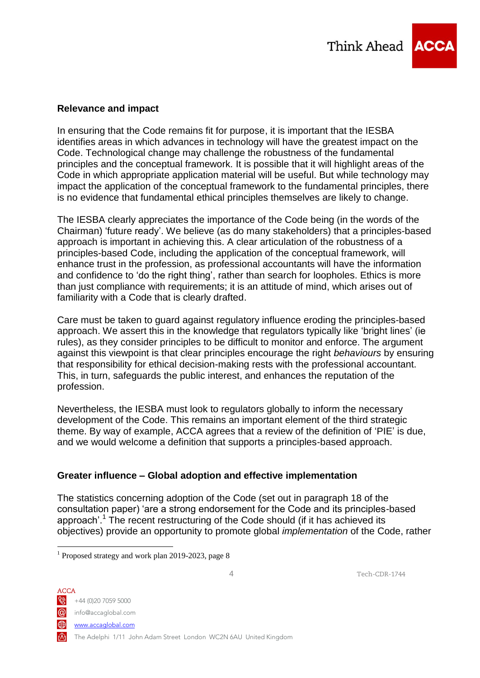

## **Relevance and impact**

In ensuring that the Code remains fit for purpose, it is important that the IESBA identifies areas in which advances in technology will have the greatest impact on the Code. Technological change may challenge the robustness of the fundamental principles and the conceptual framework. It is possible that it will highlight areas of the Code in which appropriate application material will be useful. But while technology may impact the application of the conceptual framework to the fundamental principles, there is no evidence that fundamental ethical principles themselves are likely to change.

The IESBA clearly appreciates the importance of the Code being (in the words of the Chairman) 'future ready'. We believe (as do many stakeholders) that a principles-based approach is important in achieving this. A clear articulation of the robustness of a principles-based Code, including the application of the conceptual framework, will enhance trust in the profession, as professional accountants will have the information and confidence to 'do the right thing', rather than search for loopholes. Ethics is more than just compliance with requirements; it is an attitude of mind, which arises out of familiarity with a Code that is clearly drafted.

Care must be taken to guard against regulatory influence eroding the principles-based approach. We assert this in the knowledge that regulators typically like 'bright lines' (ie rules), as they consider principles to be difficult to monitor and enforce. The argument against this viewpoint is that clear principles encourage the right *behaviours* by ensuring that responsibility for ethical decision-making rests with the professional accountant. This, in turn, safeguards the public interest, and enhances the reputation of the profession.

Nevertheless, the IESBA must look to regulators globally to inform the necessary development of the Code. This remains an important element of the third strategic theme. By way of example, ACCA agrees that a review of the definition of 'PIE' is due, and we would welcome a definition that supports a principles-based approach.

## **Greater influence – Global adoption and effective implementation**

The statistics concerning adoption of the Code (set out in paragraph 18 of the consultation paper) 'are a strong endorsement for the Code and its principles-based approach'.<sup>1</sup> The recent restructuring of the Code should (if it has achieved its objectives) provide an opportunity to promote global *implementation* of the Code, rather

4 Tech-CDR-1744

 $\frac{1}{2}$  +44 (0)20 7059 5000

ACCA

<u>.</u>

info@accaglobal.com

www.accaglobal.com

The Adelphi 1/11 John Adam Street London WC2N 6AU United Kingdom

<sup>&</sup>lt;sup>1</sup> Proposed strategy and work plan 2019-2023, page 8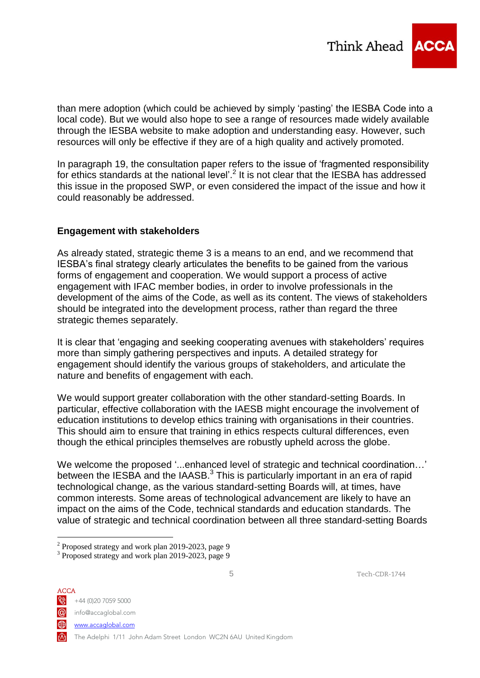

than mere adoption (which could be achieved by simply 'pasting' the IESBA Code into a local code). But we would also hope to see a range of resources made widely available through the IESBA website to make adoption and understanding easy. However, such resources will only be effective if they are of a high quality and actively promoted.

In paragraph 19, the consultation paper refers to the issue of 'fragmented responsibility for ethics standards at the national level'.<sup>2</sup> It is not clear that the IESBA has addressed this issue in the proposed SWP, or even considered the impact of the issue and how it could reasonably be addressed.

#### **Engagement with stakeholders**

As already stated, strategic theme 3 is a means to an end, and we recommend that IESBA's final strategy clearly articulates the benefits to be gained from the various forms of engagement and cooperation. We would support a process of active engagement with IFAC member bodies, in order to involve professionals in the development of the aims of the Code, as well as its content. The views of stakeholders should be integrated into the development process, rather than regard the three strategic themes separately.

It is clear that 'engaging and seeking cooperating avenues with stakeholders' requires more than simply gathering perspectives and inputs. A detailed strategy for engagement should identify the various groups of stakeholders, and articulate the nature and benefits of engagement with each.

We would support greater collaboration with the other standard-setting Boards. In particular, effective collaboration with the IAESB might encourage the involvement of education institutions to develop ethics training with organisations in their countries. This should aim to ensure that training in ethics respects cultural differences, even though the ethical principles themselves are robustly upheld across the globe.

We welcome the proposed '...enhanced level of strategic and technical coordination…' between the IESBA and the IAASB. $3$  This is particularly important in an era of rapid technological change, as the various standard-setting Boards will, at times, have common interests. Some areas of technological advancement are likely to have an impact on the aims of the Code, technical standards and education standards. The value of strategic and technical coordination between all three standard-setting Boards

ACCA  $\frac{1}{2}$  +44 (0)20 7059 5000 info@accaglobal.com **⊕** 

1

www.accaglobal.com

The Adelphi 1/11 John Adam Street London WC2N 6AU United Kingdom

<sup>&</sup>lt;sup>2</sup> Proposed strategy and work plan 2019-2023, page 9

<sup>&</sup>lt;sup>3</sup> Proposed strategy and work plan 2019-2023, page 9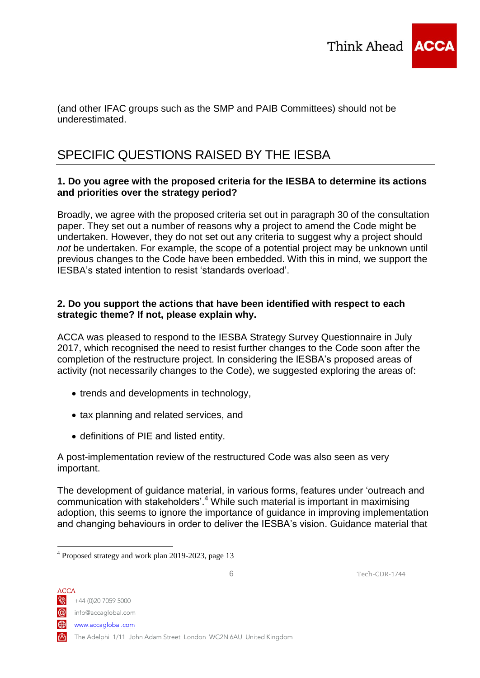

(and other IFAC groups such as the SMP and PAIB Committees) should not be underestimated.

# SPECIFIC QUESTIONS RAISED BY THE IESBA

## **1. Do you agree with the proposed criteria for the IESBA to determine its actions and priorities over the strategy period?**

Broadly, we agree with the proposed criteria set out in paragraph 30 of the consultation paper. They set out a number of reasons why a project to amend the Code might be undertaken. However, they do not set out any criteria to suggest why a project should *not* be undertaken. For example, the scope of a potential project may be unknown until previous changes to the Code have been embedded. With this in mind, we support the IESBA's stated intention to resist 'standards overload'.

## **2. Do you support the actions that have been identified with respect to each strategic theme? If not, please explain why.**

ACCA was pleased to respond to the IESBA Strategy Survey Questionnaire in July 2017, which recognised the need to resist further changes to the Code soon after the completion of the restructure project. In considering the IESBA's proposed areas of activity (not necessarily changes to the Code), we suggested exploring the areas of:

- trends and developments in technology,
- tax planning and related services, and
- definitions of PIE and listed entity.

A post-implementation review of the restructured Code was also seen as very important.

The development of guidance material, in various forms, features under 'outreach and communication with stakeholders'.<sup>4</sup> While such material is important in maximising adoption, this seems to ignore the importance of guidance in improving implementation and changing behaviours in order to deliver the IESBA's vision. Guidance material that

6 Tech-CDR-1744

 $\frac{1}{2}$  +44 (0)20 7059 5000

ACCA

info@accaglobal.com

www.accaglobal.com

The Adelphi 1/11 John Adam Street London WC2N 6AU United Kingdom

<sup>&</sup>lt;u>.</u> 4 Proposed strategy and work plan 2019-2023, page 13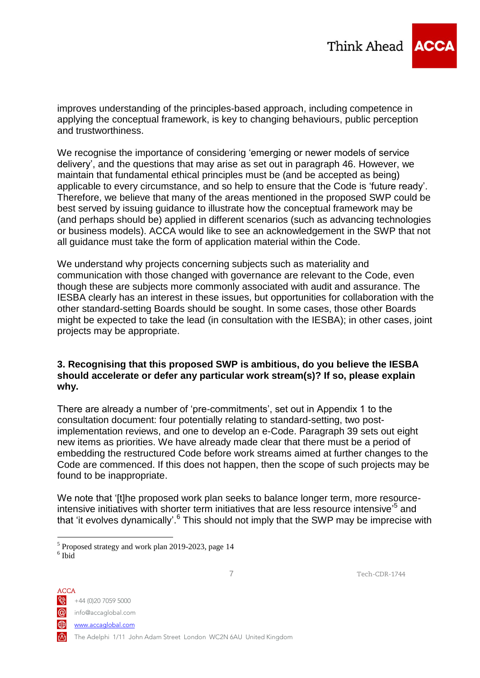

improves understanding of the principles-based approach, including competence in applying the conceptual framework, is key to changing behaviours, public perception and trustworthiness.

We recognise the importance of considering 'emerging or newer models of service delivery', and the questions that may arise as set out in paragraph 46. However, we maintain that fundamental ethical principles must be (and be accepted as being) applicable to every circumstance, and so help to ensure that the Code is 'future ready'. Therefore, we believe that many of the areas mentioned in the proposed SWP could be best served by issuing guidance to illustrate how the conceptual framework may be (and perhaps should be) applied in different scenarios (such as advancing technologies or business models). ACCA would like to see an acknowledgement in the SWP that not all guidance must take the form of application material within the Code.

We understand why projects concerning subjects such as materiality and communication with those changed with governance are relevant to the Code, even though these are subjects more commonly associated with audit and assurance. The IESBA clearly has an interest in these issues, but opportunities for collaboration with the other standard-setting Boards should be sought. In some cases, those other Boards might be expected to take the lead (in consultation with the IESBA); in other cases, joint projects may be appropriate.

#### **3. Recognising that this proposed SWP is ambitious, do you believe the IESBA should accelerate or defer any particular work stream(s)? If so, please explain why.**

There are already a number of 'pre-commitments', set out in Appendix 1 to the consultation document: four potentially relating to standard-setting, two postimplementation reviews, and one to develop an e-Code. Paragraph 39 sets out eight new items as priorities. We have already made clear that there must be a period of embedding the restructured Code before work streams aimed at further changes to the Code are commenced. If this does not happen, then the scope of such projects may be found to be inappropriate.

We note that '[t]he proposed work plan seeks to balance longer term, more resourceintensive initiatives with shorter term initiatives that are less resource intensive<sup>75</sup> and that 'it evolves dynamically'.<sup>6</sup> This should not imply that the SWP may be imprecise with

ACCA  $\bigotimes$  +44 (0)20 7059 5000 info@accaglobal.com www.accaglobal.com The Adelphi 1/11 John Adam Street London WC2N 6AU United Kingdom

1

<sup>&</sup>lt;sup>5</sup> Proposed strategy and work plan 2019-2023, page 14 6 Ibid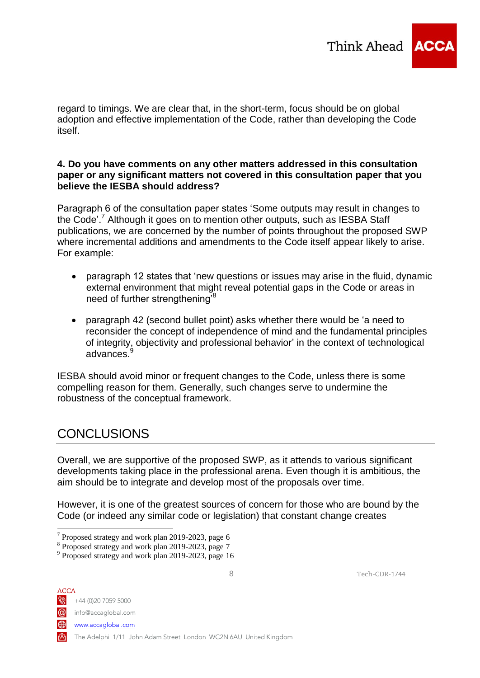

regard to timings. We are clear that, in the short-term, focus should be on global adoption and effective implementation of the Code, rather than developing the Code itself.

## **4. Do you have comments on any other matters addressed in this consultation paper or any significant matters not covered in this consultation paper that you believe the IESBA should address?**

Paragraph 6 of the consultation paper states 'Some outputs may result in changes to the Code'.<sup>7</sup> Although it goes on to mention other outputs, such as IESBA Staff publications, we are concerned by the number of points throughout the proposed SWP where incremental additions and amendments to the Code itself appear likely to arise. For example:

- paragraph 12 states that 'new questions or issues may arise in the fluid, dynamic external environment that might reveal potential gaps in the Code or areas in need of further strengthening<sup>'8</sup>
- paragraph 42 (second bullet point) asks whether there would be 'a need to reconsider the concept of independence of mind and the fundamental principles of integrity, objectivity and professional behavior' in the context of technological advances.

IESBA should avoid minor or frequent changes to the Code, unless there is some compelling reason for them. Generally, such changes serve to undermine the robustness of the conceptual framework.

# **CONCLUSIONS**

Overall, we are supportive of the proposed SWP, as it attends to various significant developments taking place in the professional arena. Even though it is ambitious, the aim should be to integrate and develop most of the proposals over time.

However, it is one of the greatest sources of concern for those who are bound by the Code (or indeed any similar code or legislation) that constant change creates

ACCA  $\frac{1}{2}$  +44 (0)20 7059 5000

1

info@accaglobal.com

⊕ www.accaglobal.com

The Adelphi 1/11 John Adam Street London WC2N 6AU United Kingdom

<sup>&</sup>lt;sup>7</sup> Proposed strategy and work plan 2019-2023, page 6

<sup>8</sup> Proposed strategy and work plan 2019-2023, page 7

<sup>&</sup>lt;sup>9</sup> Proposed strategy and work plan 2019-2023, page 16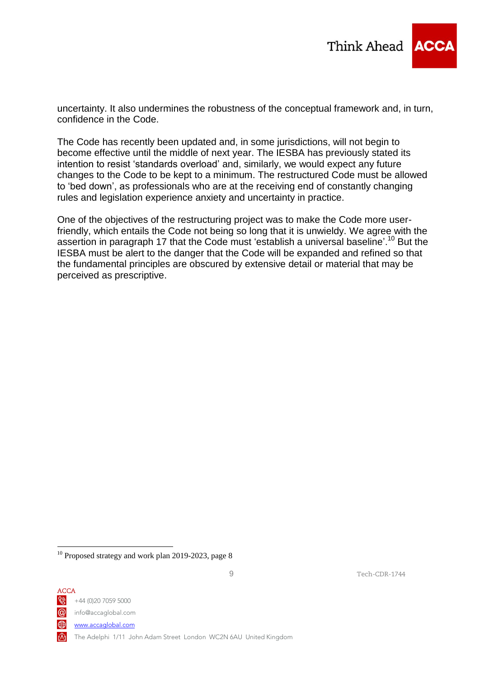

uncertainty. It also undermines the robustness of the conceptual framework and, in turn, confidence in the Code.

The Code has recently been updated and, in some jurisdictions, will not begin to become effective until the middle of next year. The IESBA has previously stated its intention to resist 'standards overload' and, similarly, we would expect any future changes to the Code to be kept to a minimum. The restructured Code must be allowed to 'bed down', as professionals who are at the receiving end of constantly changing rules and legislation experience anxiety and uncertainty in practice.

One of the objectives of the restructuring project was to make the Code more userfriendly, which entails the Code not being so long that it is unwieldy. We agree with the assertion in paragraph 17 that the Code must 'establish a universal baseline'.<sup>10</sup> But the IESBA must be alert to the danger that the Code will be expanded and refined so that the fundamental principles are obscured by extensive detail or material that may be perceived as prescriptive.

 $10$  Proposed strategy and work plan 2019-2023, page 8



<u>.</u>